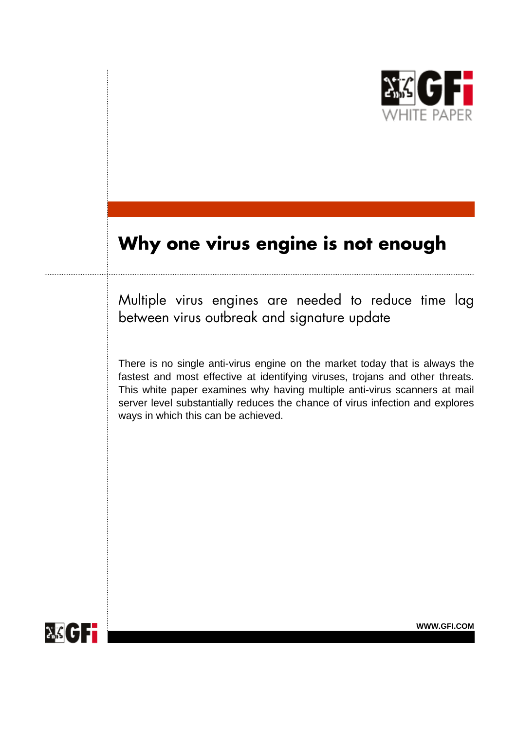

# **Why one virus engine is not enough**

Multiple virus engines are needed to reduce time lag between virus outbreak and signature update

There is no single anti-virus engine on the market today that is always the fastest and most effective at identifying viruses, trojans and other threats. This white paper examines why having multiple anti-virus scanners at mail server level substantially reduces the chance of virus infection and explores ways in which this can be achieved.



**WWW.GFI.COM**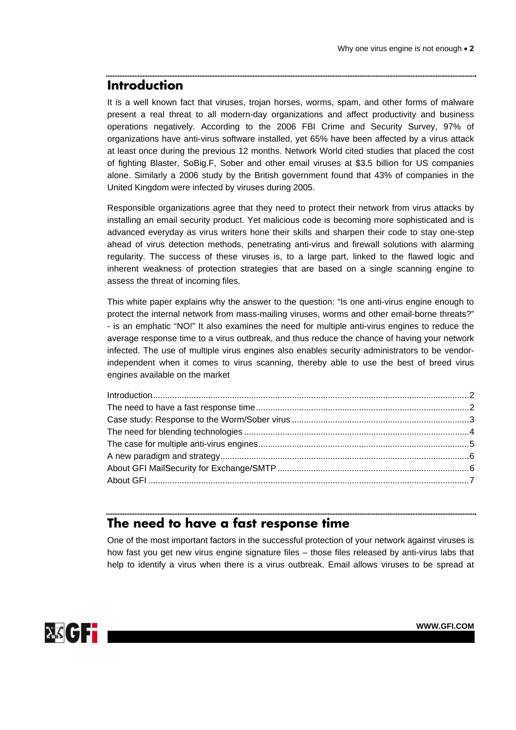# <span id="page-1-0"></span>**Introduction**

It is a well known fact that viruses, trojan horses, worms, spam, and other forms of malware present a real threat to all modern-day organizations and affect productivity and business operations negatively. According to the 2006 FBI Crime and Security Survey, 97% of organizations have anti-virus software installed, yet 65% have been affected by a virus attack at least once during the previous 12 months. Network World cited studies that placed the cost of fighting Blaster, SoBig.F, Sober and other email viruses at \$3.5 billion for US companies alone. Similarly a 2006 study by the British government found that 43% of companies in the United Kingdom were infected by viruses during 2005.

Responsible organizations agree that they need to protect their network from virus attacks by installing an email security product. Yet malicious code is becoming more sophisticated and is advanced everyday as virus writers hone their skills and sharpen their code to stay one-step ahead of virus detection methods, penetrating anti-virus and firewall solutions with alarming regularity. The success of these viruses is, to a large part, linked to the flawed logic and inherent weakness of protection strategies that are based on a single scanning engine to assess the threat of incoming files.

This white paper explains why the answer to the question: "Is one anti-virus engine enough to protect the internal network from mass-mailing viruses, worms and other email-borne threats?" - is an emphatic "NO!" It also examines the need for multiple anti-virus engines to reduce the average response time to a virus outbreak, and thus reduce the chance of having your network infected. The use of multiple virus engines also enables security administrators to be vendorindependent when it comes to virus scanning, thereby able to use the best of breed virus engines available on the market

# **The need to have a fast response time**

One of the most important factors in the successful protection of your network against viruses is how fast you get new virus engine signature files – those files released by anti-virus labs that help to identify a virus when there is a virus outbreak. Email allows viruses to be spread at

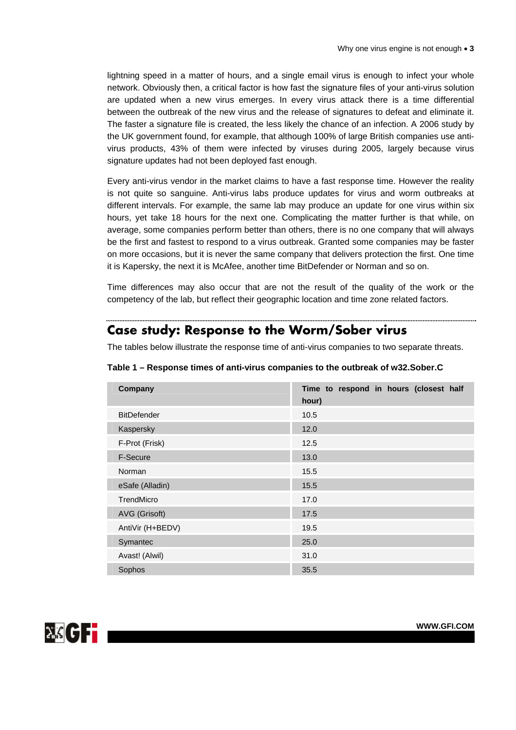<span id="page-2-0"></span>lightning speed in a matter of hours, and a single email virus is enough to infect your whole network. Obviously then, a critical factor is how fast the signature files of your anti-virus solution are updated when a new virus emerges. In every virus attack there is a time differential between the outbreak of the new virus and the release of signatures to defeat and eliminate it. The faster a signature file is created, the less likely the chance of an infection. A 2006 study by the UK government found, for example, that although 100% of large British companies use antivirus products, 43% of them were infected by viruses during 2005, largely because virus signature updates had not been deployed fast enough.

Every anti-virus vendor in the market claims to have a fast response time. However the reality is not quite so sanguine. Anti-virus labs produce updates for virus and worm outbreaks at different intervals. For example, the same lab may produce an update for one virus within six hours, yet take 18 hours for the next one. Complicating the matter further is that while, on average, some companies perform better than others, there is no one company that will always be the first and fastest to respond to a virus outbreak. Granted some companies may be faster on more occasions, but it is never the same company that delivers protection the first. One time it is Kapersky, the next it is McAfee, another time BitDefender or Norman and so on.

Time differences may also occur that are not the result of the quality of the work or the competency of the lab, but reflect their geographic location and time zone related factors.

# **Case study: Response to the Worm/Sober virus**

The tables below illustrate the response time of anti-virus companies to two separate threats.

| Company            | Time to respond in hours (closest half |
|--------------------|----------------------------------------|
|                    | hour)                                  |
| <b>BitDefender</b> | 10.5                                   |
| Kaspersky          | 12.0                                   |
| F-Prot (Frisk)     | 12.5                                   |
| <b>F-Secure</b>    | 13.0                                   |
| Norman             | 15.5                                   |
| eSafe (Alladin)    | 15.5                                   |
| <b>TrendMicro</b>  | 17.0                                   |
| AVG (Grisoft)      | 17.5                                   |
| AntiVir (H+BEDV)   | 19.5                                   |
| Symantec           | 25.0                                   |
| Avast! (Alwil)     | 31.0                                   |
| Sophos             | 35.5                                   |

**Table 1 – Response times of anti-virus companies to the outbreak of w32.Sober.C** 

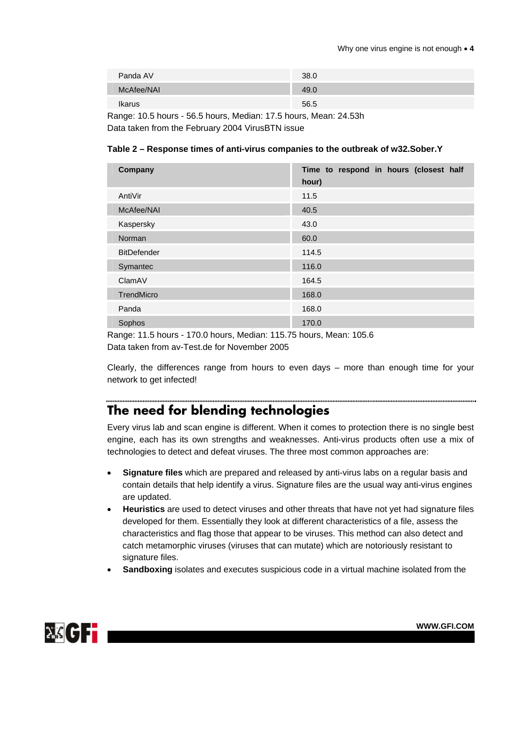<span id="page-3-0"></span>

| Panda AV      | 38.0 |
|---------------|------|
| McAfee/NAI    | 49.0 |
| <b>Ikarus</b> | 56.5 |

Range: 10.5 hours - 56.5 hours, Median: 17.5 hours, Mean: 24.53h Data taken from the February 2004 VirusBTN issue

#### **Table 2 – Response times of anti-virus companies to the outbreak of w32.Sober.Y**

| Company            | Time to respond in hours (closest half<br>hour) |
|--------------------|-------------------------------------------------|
| AntiVir            | 11.5                                            |
| McAfee/NAI         | 40.5                                            |
| Kaspersky          | 43.0                                            |
| Norman             | 60.0                                            |
| <b>BitDefender</b> | 114.5                                           |
| Symantec           | 116.0                                           |
| ClamAV             | 164.5                                           |
| TrendMicro         | 168.0                                           |
| Panda              | 168.0                                           |
| Sophos             | 170.0                                           |

Range: 11.5 hours - 170.0 hours, Median: 115.75 hours, Mean: 105.6 Data taken from av-Test.de for November 2005

Clearly, the differences range from hours to even days – more than enough time for your network to get infected!

# **The need for blending technologies**

Every virus lab and scan engine is different. When it comes to protection there is no single best engine, each has its own strengths and weaknesses. Anti-virus products often use a mix of technologies to detect and defeat viruses. The three most common approaches are:

- **Signature files** which are prepared and released by anti-virus labs on a regular basis and contain details that help identify a virus. Signature files are the usual way anti-virus engines are updated.
- **Heuristics** are used to detect viruses and other threats that have not yet had signature files developed for them. Essentially they look at different characteristics of a file, assess the characteristics and flag those that appear to be viruses. This method can also detect and catch metamorphic viruses (viruses that can mutate) which are notoriously resistant to signature files.
- **Sandboxing** isolates and executes suspicious code in a virtual machine isolated from the

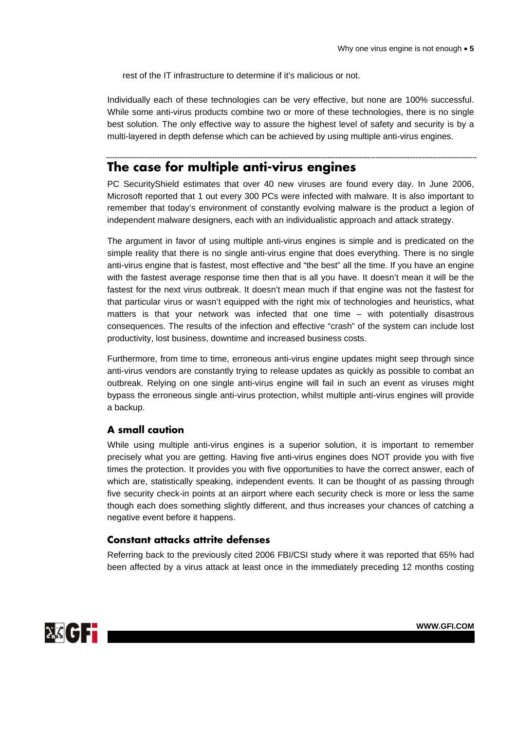<span id="page-4-0"></span>rest of the IT infrastructure to determine if it's malicious or not.

Individually each of these technologies can be very effective, but none are 100% successful. While some anti-virus products combine two or more of these technologies, there is no single best solution. The only effective way to assure the highest level of safety and security is by a multi-layered in depth defense which can be achieved by using multiple anti-virus engines.

#### **The case for multiple anti-virus engines**

PC SecurityShield estimates that over 40 new viruses are found every day. In June 2006, Microsoft reported that 1 out every 300 PCs were infected with malware. It is also important to remember that today's environment of constantly evolving malware is the product a legion of independent malware designers, each with an individualistic approach and attack strategy.

The argument in favor of using multiple anti-virus engines is simple and is predicated on the simple reality that there is no single anti-virus engine that does everything. There is no single anti-virus engine that is fastest, most effective and "the best" all the time. If you have an engine with the fastest average response time then that is all you have. It doesn't mean it will be the fastest for the next virus outbreak. It doesn't mean much if that engine was not the fastest for that particular virus or wasn't equipped with the right mix of technologies and heuristics, what matters is that your network was infected that one time – with potentially disastrous consequences. The results of the infection and effective "crash" of the system can include lost productivity, lost business, downtime and increased business costs.

Furthermore, from time to time, erroneous anti-virus engine updates might seep through since anti-virus vendors are constantly trying to release updates as quickly as possible to combat an outbreak. Relying on one single anti-virus engine will fail in such an event as viruses might bypass the erroneous single anti-virus protection, whilst multiple anti-virus engines will provide a backup.

## **A small caution**

While using multiple anti-virus engines is a superior solution, it is important to remember precisely what you are getting. Having five anti-virus engines does NOT provide you with five times the protection. It provides you with five opportunities to have the correct answer, each of which are, statistically speaking, independent events. It can be thought of as passing through five security check-in points at an airport where each security check is more or less the same though each does something slightly different, and thus increases your chances of catching a negative event before it happens.

## **Constant attacks attrite defenses**

Referring back to the previously cited 2006 FBI/CSI study where it was reported that 65% had been affected by a virus attack at least once in the immediately preceding 12 months costing

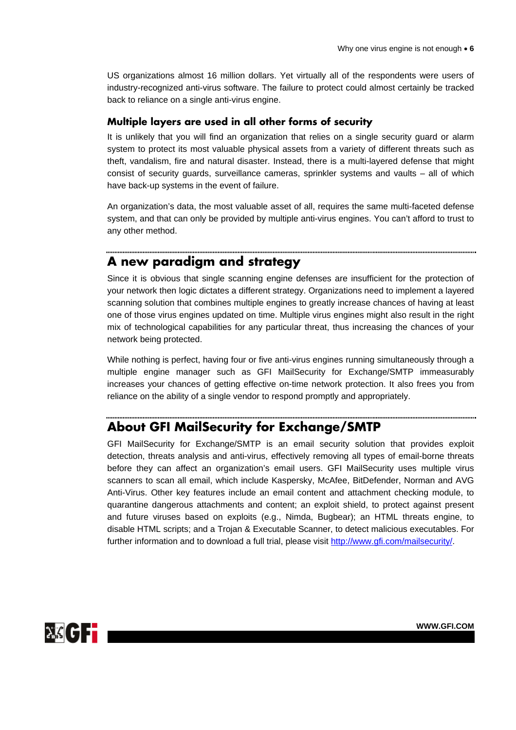<span id="page-5-0"></span>US organizations almost 16 million dollars. Yet virtually all of the respondents were users of industry-recognized anti-virus software. The failure to protect could almost certainly be tracked back to reliance on a single anti-virus engine.

## **Multiple layers are used in all other forms of security**

It is unlikely that you will find an organization that relies on a single security guard or alarm system to protect its most valuable physical assets from a variety of different threats such as theft, vandalism, fire and natural disaster. Instead, there is a multi-layered defense that might consist of security guards, surveillance cameras, sprinkler systems and vaults – all of which have back-up systems in the event of failure.

An organization's data, the most valuable asset of all, requires the same multi-faceted defense system, and that can only be provided by multiple anti-virus engines. You can't afford to trust to any other method.

## **A new paradigm and strategy**

Since it is obvious that single scanning engine defenses are insufficient for the protection of your network then logic dictates a different strategy. Organizations need to implement a layered scanning solution that combines multiple engines to greatly increase chances of having at least one of those virus engines updated on time. Multiple virus engines might also result in the right mix of technological capabilities for any particular threat, thus increasing the chances of your network being protected.

While nothing is perfect, having four or five anti-virus engines running simultaneously through a multiple engine manager such as GFI MailSecurity for Exchange/SMTP immeasurably increases your chances of getting effective on-time network protection. It also frees you from reliance on the ability of a single vendor to respond promptly and appropriately.

### **About GFI MailSecurity for Exchange/SMTP**

GFI MailSecurity for Exchange/SMTP is an email security solution that provides exploit detection, threats analysis and anti-virus, effectively removing all types of email-borne threats before they can affect an organization's email users. GFI MailSecurity uses multiple virus scanners to scan all email, which include Kaspersky, McAfee, BitDefender, Norman and AVG Anti-Virus. Other key features include an email content and attachment checking module, to quarantine dangerous attachments and content; an exploit shield, to protect against present and future viruses based on exploits (e.g., Nimda, Bugbear); an HTML threats engine, to disable HTML scripts; and a Trojan & Executable Scanner, to detect malicious executables. For further information and to download a full trial, please visit http://www.gfi.com/mailsecurity/.